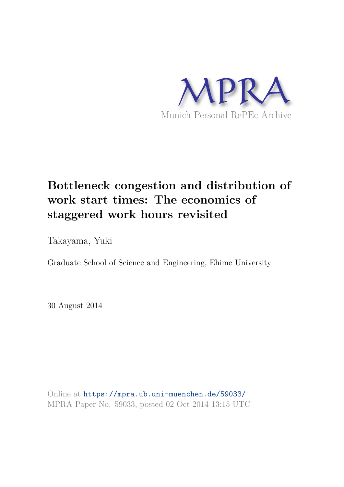

# **Bottleneck congestion and distribution of work start times: The economics of staggered work hours revisited**

Takayama, Yuki

Graduate School of Science and Engineering, Ehime University

30 August 2014

Online at https://mpra.ub.uni-muenchen.de/59033/ MPRA Paper No. 59033, posted 02 Oct 2014 13:15 UTC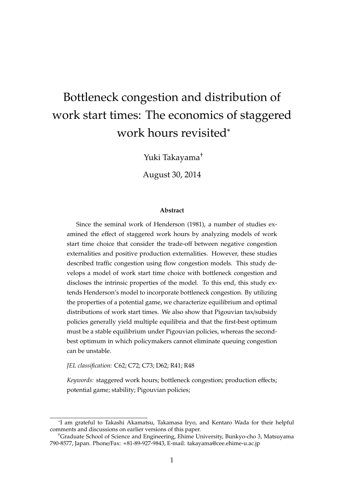# Bottleneck congestion and distribution of work start times: The economics of staggered work hours revisited<sup>∗</sup>

Yuki Takayama†

August 30, 2014

#### **Abstract**

Since the seminal work of Henderson (1981), a number of studies examined the effect of staggered work hours by analyzing models of work start time choice that consider the trade-off between negative congestion externalities and positive production externalities. However, these studies described traffic congestion using flow congestion models. This study develops a model of work start time choice with bottleneck congestion and discloses the intrinsic properties of the model. To this end, this study extends Henderson's model to incorporate bottleneck congestion. By utilizing the properties of a potential game, we characterize equilibrium and optimal distributions of work start times. We also show that Pigouvian tax/subsidy policies generally yield multiple equilibria and that the first-best optimum must be a stable equilibrium under Pigouvian policies, whereas the secondbest optimum in which policymakers cannot eliminate queuing congestion can be unstable.

*JEL classification:* C62; C72; C73; D62; R41; R48

*Keywords:* staggered work hours; bottleneck congestion; production effects; potential game; stability; Pigouvian policies;

<sup>∗</sup> I am grateful to Takashi Akamatsu, Takamasa Iryo, and Kentaro Wada for their helpful comments and discussions on earlier versions of this paper.

<sup>†</sup>Graduate School of Science and Engineering, Ehime University, Bunkyo-cho 3, Matsuyama 790-8577, Japan. Phone/Fax: +81-89-927-9843, E-mail: takayama@cee.ehime-u.ac.jp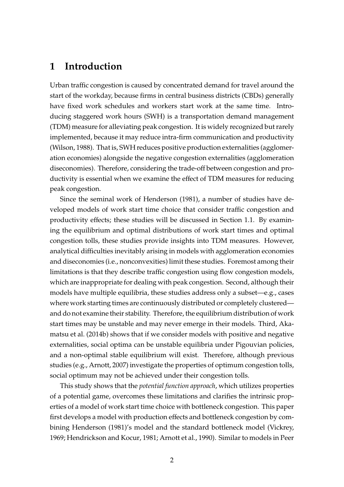# **1 Introduction**

Urban traffic congestion is caused by concentrated demand for travel around the start of the workday, because firms in central business districts (CBDs) generally have fixed work schedules and workers start work at the same time. Introducing staggered work hours (SWH) is a transportation demand management (TDM) measure for alleviating peak congestion. It is widely recognized but rarely implemented, because it may reduce intra-firm communication and productivity (Wilson, 1988). That is, SWH reduces positive production externalities (agglomeration economies) alongside the negative congestion externalities (agglomeration diseconomies). Therefore, considering the trade-off between congestion and productivity is essential when we examine the effect of TDM measures for reducing peak congestion.

Since the seminal work of Henderson (1981), a number of studies have developed models of work start time choice that consider traffic congestion and productivity effects; these studies will be discussed in Section 1.1. By examining the equilibrium and optimal distributions of work start times and optimal congestion tolls, these studies provide insights into TDM measures. However, analytical difficulties inevitably arising in models with agglomeration economies and diseconomies (i.e., nonconvexities) limit these studies. Foremost among their limitations is that they describe traffic congestion using flow congestion models, which are inappropriate for dealing with peak congestion. Second, although their models have multiple equilibria, these studies address only a subset—e.g., cases where work starting times are continuously distributed or completely clustered and do not examine their stability. Therefore, the equilibrium distribution of work start times may be unstable and may never emerge in their models. Third, Akamatsu et al. (2014b) shows that if we consider models with positive and negative externalities, social optima can be unstable equilibria under Pigouvian policies, and a non-optimal stable equilibrium will exist. Therefore, although previous studies (e.g., Arnott, 2007) investigate the properties of optimum congestion tolls, social optimum may not be achieved under their congestion tolls.

This study shows that the *potential function approach*, which utilizes properties of a potential game, overcomes these limitations and clarifies the intrinsic properties of a model of work start time choice with bottleneck congestion. This paper first develops a model with production effects and bottleneck congestion by combining Henderson (1981)'s model and the standard bottleneck model (Vickrey, 1969; Hendrickson and Kocur, 1981; Arnott et al., 1990). Similar to models in Peer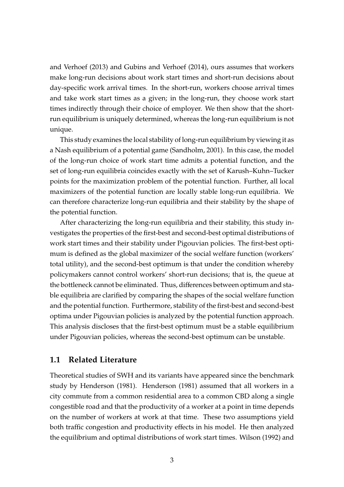and Verhoef (2013) and Gubins and Verhoef (2014), ours assumes that workers make long-run decisions about work start times and short-run decisions about day-specific work arrival times. In the short-run, workers choose arrival times and take work start times as a given; in the long-run, they choose work start times indirectly through their choice of employer. We then show that the shortrun equilibrium is uniquely determined, whereas the long-run equilibrium is not unique.

This study examines the local stability of long-run equilibrium by viewing it as a Nash equilibrium of a potential game (Sandholm, 2001). In this case, the model of the long-run choice of work start time admits a potential function, and the set of long-run equilibria coincides exactly with the set of Karush–Kuhn–Tucker points for the maximization problem of the potential function. Further, all local maximizers of the potential function are locally stable long-run equilibria. We can therefore characterize long-run equilibria and their stability by the shape of the potential function.

After characterizing the long-run equilibria and their stability, this study investigates the properties of the first-best and second-best optimal distributions of work start times and their stability under Pigouvian policies. The first-best optimum is defined as the global maximizer of the social welfare function (workers' total utility), and the second-best optimum is that under the condition whereby policymakers cannot control workers' short-run decisions; that is, the queue at the bottleneck cannot be eliminated. Thus, differences between optimum and stable equilibria are clarified by comparing the shapes of the social welfare function and the potential function. Furthermore, stability of the first-best and second-best optima under Pigouvian policies is analyzed by the potential function approach. This analysis discloses that the first-best optimum must be a stable equilibrium under Pigouvian policies, whereas the second-best optimum can be unstable.

## **1.1 Related Literature**

Theoretical studies of SWH and its variants have appeared since the benchmark study by Henderson (1981). Henderson (1981) assumed that all workers in a city commute from a common residential area to a common CBD along a single congestible road and that the productivity of a worker at a point in time depends on the number of workers at work at that time. These two assumptions yield both traffic congestion and productivity effects in his model. He then analyzed the equilibrium and optimal distributions of work start times. Wilson (1992) and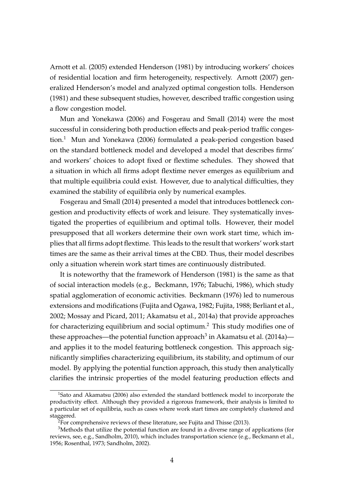Arnott et al. (2005) extended Henderson (1981) by introducing workers' choices of residential location and firm heterogeneity, respectively. Arnott (2007) generalized Henderson's model and analyzed optimal congestion tolls. Henderson (1981) and these subsequent studies, however, described traffic congestion using a flow congestion model.

Mun and Yonekawa (2006) and Fosgerau and Small (2014) were the most successful in considering both production effects and peak-period traffic congestion.<sup>1</sup> Mun and Yonekawa (2006) formulated a peak-period congestion based on the standard bottleneck model and developed a model that describes firms' and workers' choices to adopt fixed or flextime schedules. They showed that a situation in which all firms adopt flextime never emerges as equilibrium and that multiple equilibria could exist. However, due to analytical difficulties, they examined the stability of equilibria only by numerical examples.

Fosgerau and Small (2014) presented a model that introduces bottleneck congestion and productivity effects of work and leisure. They systematically investigated the properties of equilibrium and optimal tolls. However, their model presupposed that all workers determine their own work start time, which implies that all firms adopt flextime. This leads to the result that workers' work start times are the same as their arrival times at the CBD. Thus, their model describes only a situation wherein work start times are continuously distributed.

It is noteworthy that the framework of Henderson (1981) is the same as that of social interaction models (e.g., Beckmann, 1976; Tabuchi, 1986), which study spatial agglomeration of economic activities. Beckmann (1976) led to numerous extensions and modifications (Fujita and Ogawa, 1982; Fujita, 1988; Berliant et al., 2002; Mossay and Picard, 2011; Akamatsu et al., 2014a) that provide approaches for characterizing equilibrium and social optimum.<sup>2</sup> This study modifies one of these approaches—the potential function approach $^3$  in Akamatsu et al. (2014a) and applies it to the model featuring bottleneck congestion. This approach significantly simplifies characterizing equilibrium, its stability, and optimum of our model. By applying the potential function approach, this study then analytically clarifies the intrinsic properties of the model featuring production effects and

<sup>&</sup>lt;sup>1</sup>Sato and Akamatsu (2006) also extended the standard bottleneck model to incorporate the productivity effect. Although they provided a rigorous framework, their analysis is limited to a particular set of equilibria, such as cases where work start times are completely clustered and staggered.

 $2\overline{P}$ For comprehensive reviews of these literature, see Fujita and Thisse (2013).

<sup>&</sup>lt;sup>3</sup>Methods that utilize the potential function are found in a diverse range of applications (for reviews, see, e.g., Sandholm, 2010), which includes transportation science (e.g., Beckmann et al., 1956; Rosenthal, 1973; Sandholm, 2002).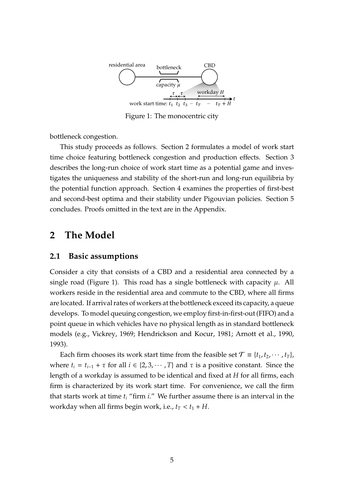

Figure 1: The monocentric city

bottleneck congestion.

This study proceeds as follows. Section 2 formulates a model of work start time choice featuring bottleneck congestion and production effects. Section 3 describes the long-run choice of work start time as a potential game and investigates the uniqueness and stability of the short-run and long-run equilibria by the potential function approach. Section 4 examines the properties of first-best and second-best optima and their stability under Pigouvian policies. Section 5 concludes. Proofs omitted in the text are in the Appendix.

# **2 The Model**

## **2.1 Basic assumptions**

Consider a city that consists of a CBD and a residential area connected by a single road (Figure 1). This road has a single bottleneck with capacity  $\mu$ . All workers reside in the residential area and commute to the CBD, where all firms are located. If arrival rates of workers at the bottleneck exceed its capacity, a queue develops. To model queuing congestion, we employ first-in-first-out (FIFO) and a point queue in which vehicles have no physical length as in standard bottleneck models (e.g., Vickrey, 1969; Hendrickson and Kocur, 1981; Arnott et al., 1990, 1993).

Each firm chooses its work start time from the feasible set  $\mathcal{T} \equiv \{t_1, t_2, \cdots, t_T\}$ , where  $t_i = t_{i-1} + \tau$  for all  $i \in \{2, 3, \dots, T\}$  and  $\tau$  is a positive constant. Since the length of a workday is assumed to be identical and fixed at *H* for all firms, each firm is characterized by its work start time. For convenience, we call the firm that starts work at time *t<sup>i</sup>* "firm *i*." We further assume there is an interval in the workday when all firms begin work, i.e.,  $t_T < t_1 + H$ .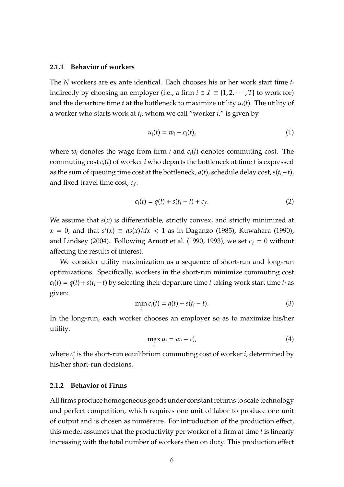#### **2.1.1 Behavior of workers**

The *N* workers are ex ante identical. Each chooses his or her work start time *t<sup>i</sup>* indirectly by choosing an employer (i.e., a firm  $i \in \mathcal{I} \equiv \{1, 2, \dots, T\}$  to work for) and the departure time  $t$  at the bottleneck to maximize utility  $u_i(t)$ . The utility of a worker who starts work at *t<sup>i</sup>* , whom we call "worker *i*," is given by

$$
u_i(t) = w_i - c_i(t), \qquad (1)
$$

where  $w_i$  denotes the wage from firm *i* and  $c_i(t)$  denotes commuting cost. The commuting cost *ci*(*t*) of worker *i* who departs the bottleneck at time *t* is expressed as the sum of queuing time cost at the bottleneck, *q*(*t*), schedule delay cost, *s*(*ti*−*t*), and fixed travel time cost, *c<sup>f</sup>* :

$$
c_i(t) = q(t) + s(t_i - t) + c_f.
$$
 (2)

We assume that  $s(x)$  is differentiable, strictly convex, and strictly minimized at  $x = 0$ , and that  $s'(x) \equiv ds(x)/dx < 1$  as in Daganzo (1985), Kuwahara (1990), and Lindsey (2004). Following Arnott et al. (1990, 1993), we set  $c_f = 0$  without affecting the results of interest.

We consider utility maximization as a sequence of short-run and long-run optimizations. Specifically, workers in the short-run minimize commuting cost  $c_i(t) = q(t) + s(t_i - t)$  by selecting their departure time *t* taking work start time  $t_i$  as given:

$$
\min_{t} c_i(t) = q(t) + s(t_i - t). \tag{3}
$$

In the long-run, each worker chooses an employer so as to maximize his/her utility:

$$
\max_i u_i = w_i - c_i^*,
$$
\n(4)

where  $c_i^*$ *i* is the short-run equilibrium commuting cost of worker *i*, determined by his/her short-run decisions.

#### **2.1.2 Behavior of Firms**

All firms produce homogeneous goods under constant returns to scale technology and perfect competition, which requires one unit of labor to produce one unit of output and is chosen as numéraire. For introduction of the production effect, this model assumes that the productivity per worker of a firm at time *t* is linearly increasing with the total number of workers then on duty. This production effect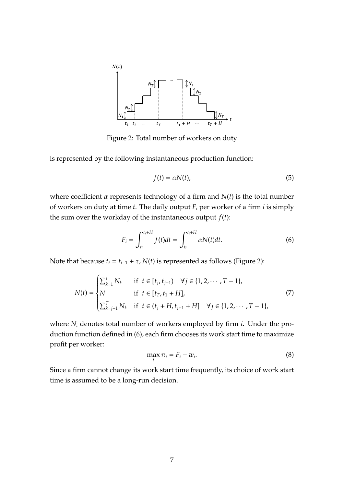

Figure 2: Total number of workers on duty

is represented by the following instantaneous production function:

$$
f(t) = \alpha N(t),\tag{5}
$$

where coefficient  $\alpha$  represents technology of a firm and  $N(t)$  is the total number of workers on duty at time *t*. The daily output *F<sup>i</sup>* per worker of a firm *i* is simply the sum over the workday of the instantaneous output  $f(t)$ :

$$
F_i = \int_{t_i}^{t_i + H} f(t)dt = \int_{t_i}^{t_i + H} \alpha N(t)dt.
$$
 (6)

Note that because  $t_i = t_{i-1} + \tau$ ,  $N(t)$  is represented as follows (Figure 2):

$$
N(t) = \begin{cases} \sum_{k=1}^{j} N_k & \text{if } t \in [t_j, t_{j+1}) \quad \forall j \in \{1, 2, \cdots, T-1\}, \\ N & \text{if } t \in [t_T, t_1 + H], \\ \sum_{k=j+1}^{T} N_k & \text{if } t \in (t_j + H, t_{j+1} + H] \quad \forall j \in \{1, 2, \cdots, T-1\}, \end{cases}
$$
(7)

where *N<sup>i</sup>* denotes total number of workers employed by firm *i*. Under the production function defined in (6), each firm chooses its work start time to maximize profit per worker:

$$
\max_{i} \pi_i = F_i - w_i. \tag{8}
$$

Since a firm cannot change its work start time frequently, its choice of work start time is assumed to be a long-run decision.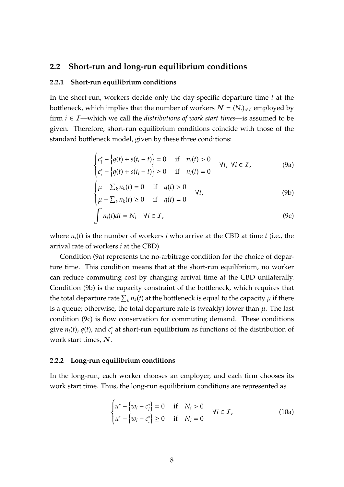## **2.2 Short-run and long-run equilibrium conditions**

#### **2.2.1 Short-run equilibrium conditions**

In the short-run, workers decide only the day-specific departure time *t* at the bottleneck, which implies that the number of workers  $N = (N_i)_{i \in I}$  employed by firm *i* ∈ I—which we call the *distributions of work start times*—is assumed to be given. Therefore, short-run equilibrium conditions coincide with those of the standard bottleneck model, given by these three conditions:

$$
\begin{cases} c_i^* - \left\{ q(t) + s(t_i - t) \right\} = 0 & \text{if } n_i(t) > 0 \\ c_i^* - \left\{ q(t) + s(t_i - t) \right\} \ge 0 & \text{if } n_i(t) = 0 \end{cases} \forall t, \forall i \in \mathcal{I},
$$
 (9a)

$$
\begin{cases} \mu - \sum_{k} n_{k}(t) = 0 & \text{if } q(t) > 0 \\ \mu - \sum_{k} n_{k}(t) \ge 0 & \text{if } q(t) = 0 \end{cases} \quad \forall t,
$$
 (9b)

$$
\int n_i(t)dt = N_i \quad \forall i \in \mathcal{I}, \tag{9c}
$$

where  $n_i(t)$  is the number of workers *i* who arrive at the CBD at time *t* (i.e., the arrival rate of workers *i* at the CBD).

Condition (9a) represents the no-arbitrage condition for the choice of departure time. This condition means that at the short-run equilibrium, no worker can reduce commuting cost by changing arrival time at the CBD unilaterally. Condition (9b) is the capacity constraint of the bottleneck, which requires that the total departure rate  $\sum_k n_k(t)$  at the bottleneck is equal to the capacity  $\mu$  if there is a queue; otherwise, the total departure rate is (weakly) lower than  $\mu$ . The last condition (9c) is flow conservation for commuting demand. These conditions give  $n_i(t)$ ,  $q(t)$ , and  $c_i^*$ *i* at short-run equilibrium as functions of the distribution of work start times, N.

#### **2.2.2 Long-run equilibrium conditions**

In the long-run, each worker chooses an employer, and each firm chooses its work start time. Thus, the long-run equilibrium conditions are represented as

$$
\begin{cases} u^* - \{w_i - c_i^*\} = 0 & \text{if } N_i > 0 \\ u^* - \{w_i - c_i^*\} \ge 0 & \text{if } N_i = 0 \end{cases} \quad \forall i \in \mathcal{I}, \tag{10a}
$$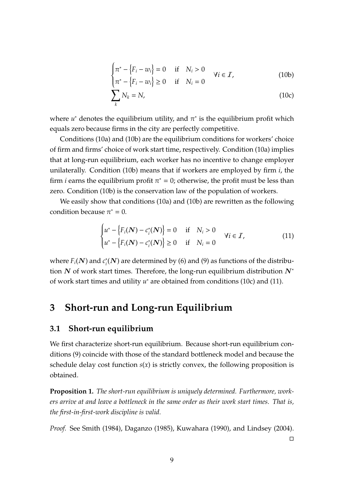$$
\begin{cases} \pi^* - \{F_i - w_i\} = 0 & \text{if} \quad N_i > 0 \\ \pi^* - \{F_i - w_i\} \ge 0 & \text{if} \quad N_i = 0 \end{cases} \quad \forall i \in \mathcal{I}, \tag{10b}
$$

$$
\sum_{k} N_k = N,\tag{10c}
$$

where  $u^*$  denotes the equilibrium utility, and  $\pi^*$  is the equilibrium profit which equals zero because firms in the city are perfectly competitive.

Conditions (10a) and (10b) are the equilibrium conditions for workers' choice of firm and firms' choice of work start time, respectively. Condition (10a) implies that at long-run equilibrium, each worker has no incentive to change employer unilaterally. Condition (10b) means that if workers are employed by firm *i*, the firm *i* earns the equilibrium profit  $\pi^* = 0$ ; otherwise, the profit must be less than zero. Condition (10b) is the conservation law of the population of workers.

We easily show that conditions (10a) and (10b) are rewritten as the following condition because  $\pi^* = 0$ .

$$
\begin{cases} u^* - \{F_i(\mathbf{N}) - c_i^*(\mathbf{N})\} = 0 & \text{if } N_i > 0 \\ u^* - \{F_i(\mathbf{N}) - c_i^*(\mathbf{N})\} \ge 0 & \text{if } N_i = 0 \end{cases} \quad \forall i \in \mathcal{I},
$$
 (11)

where  $F_i(\textbf{N})$  and  $c_i^*$  $\mathcal{C}_i^*(\bm{N})$  are determined by (6) and (9) as functions of the distribution  $N$  of work start times. Therefore, the long-run equilibrium distribution  $N^*$ of work start times and utility  $u^*$  are obtained from conditions (10c) and (11).

# **3 Short-run and Long-run Equilibrium**

#### **3.1 Short-run equilibrium**

We first characterize short-run equilibrium. Because short-run equilibrium conditions (9) coincide with those of the standard bottleneck model and because the schedule delay cost function *s*(*x*) is strictly convex, the following proposition is obtained.

**Proposition 1.** *The short-run equilibrium is uniquely determined. Furthermore, workers arrive at and leave a bottleneck in the same order as their work start times. That is, the first-in-first-work discipline is valid.*

*Proof.* See Smith (1984), Daganzo (1985), Kuwahara (1990), and Lindsey (2004).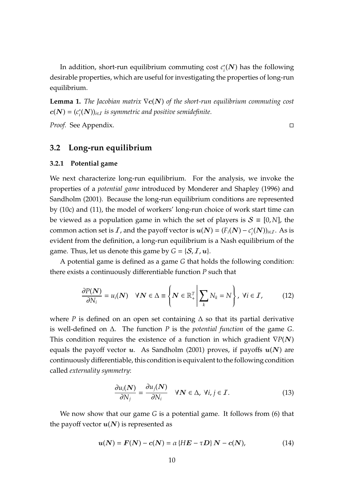In addition, short-run equilibrium commuting cost *c* ∗  $f_i^*(N)$  has the following desirable properties, which are useful for investigating the properties of long-run equilibrium.

**Lemma 1.** *The Jacobian matrix*  $\nabla c(N)$  *of the short-run equilibrium commuting cost*  $c(N) = (c_i^*)$ *i* (N))*i*∈I *is symmetric and positive semidefinite.*

*Proof.* See Appendix. □

## **3.2 Long-run equilibrium**

#### **3.2.1 Potential game**

We next characterize long-run equilibrium. For the analysis, we invoke the properties of a *potential game* introduced by Monderer and Shapley (1996) and Sandholm (2001). Because the long-run equilibrium conditions are represented by (10c) and (11), the model of workers' long-run choice of work start time can be viewed as a population game in which the set of players is  $S \equiv [0, N]$ , the common action set is  $I$ , and the payoff vector is  $u(N) = (F_i(N) - c_i^*$ *i* (N))*i*∈I. As is evident from the definition, a long-run equilibrium is a Nash equilibrium of the game. Thus, let us denote this game by  $G = \{S, I, u\}.$ 

A potential game is defined as a game *G* that holds the following condition: there exists a continuously differentiable function *P* such that

$$
\frac{\partial P(N)}{\partial N_i} = u_i(N) \quad \forall N \in \Delta \equiv \left\{ N \in \mathbb{R}_+^T \middle| \sum_k N_k = N \right\}, \ \forall i \in \mathcal{I}, \tag{12}
$$

where *P* is defined on an open set containing ∆ so that its partial derivative is well-defined on ∆. The function *P* is the *potential function* of the game *G*. This condition requires the existence of a function in which gradient  $\nabla P(N)$ equals the payoff vector  $u$ . As Sandholm (2001) proves, if payoffs  $u(N)$  are continuously differentiable, this condition is equivalent to the following condition called *externality symmetry*:

$$
\frac{\partial u_i(\mathbf{N})}{\partial N_j} = \frac{\partial u_j(\mathbf{N})}{\partial N_i} \quad \forall \mathbf{N} \in \Delta, \ \forall i, j \in \mathcal{I}.
$$
 (13)

We now show that our game *G* is a potential game. It follows from (6) that the payoff vector  $u(N)$  is represented as

$$
u(N) = F(N) - c(N) = \alpha \left\{ HE - \tau D \right\} N - c(N), \tag{14}
$$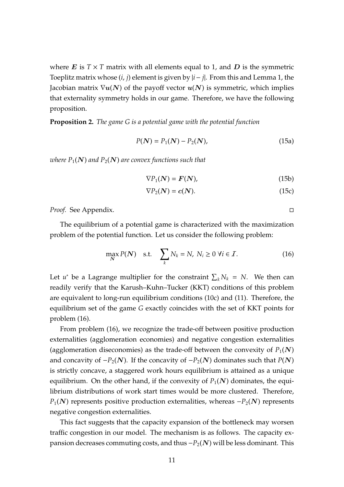where  $E$  is  $T \times T$  matrix with all elements equal to 1, and  $D$  is the symmetric Toeplitz matrix whose (*i*, *j*) element is given by |*i*− *j*|. From this and Lemma 1, the Jacobian matrix  $\nabla u(N)$  of the payoff vector  $u(N)$  is symmetric, which implies that externality symmetry holds in our game. Therefore, we have the following proposition.

**Proposition 2.** *The game G is a potential game with the potential function*

$$
P(N) = P_1(N) - P_2(N),
$$
 (15a)

*where*  $P_1(N)$  *and*  $P_2(N)$  *are convex functions such that* 

$$
\nabla P_1(\mathbf{N}) = \mathbf{F}(\mathbf{N}),\tag{15b}
$$

$$
\nabla P_2(\mathbf{N}) = \mathbf{c}(\mathbf{N}).\tag{15c}
$$

*Proof.* See Appendix. □

The equilibrium of a potential game is characterized with the maximization problem of the potential function. Let us consider the following problem:

$$
\max_{N} P(N) \quad \text{s.t.} \quad \sum_{k} N_{k} = N, \ N_{i} \ge 0 \ \forall i \in \mathcal{I}. \tag{16}
$$

Let *u*<sup>\*</sup> be a Lagrange multiplier for the constraint  $\sum_{k} N_k = N$ . We then can readily verify that the Karush–Kuhn–Tucker (KKT) conditions of this problem are equivalent to long-run equilibrium conditions (10c) and (11). Therefore, the equilibrium set of the game *G* exactly coincides with the set of KKT points for problem (16).

From problem (16), we recognize the trade-off between positive production externalities (agglomeration economies) and negative congestion externalities (agglomeration diseconomies) as the trade-off between the convexity of  $P_1(N)$ and concavity of  $-P_2(N)$ . If the concavity of  $-P_2(N)$  dominates such that *P*(*N*) is strictly concave, a staggered work hours equilibrium is attained as a unique equilibrium. On the other hand, if the convexity of  $P_1(N)$  dominates, the equilibrium distributions of work start times would be more clustered. Therefore, *P*<sub>1</sub>(N) represents positive production externalities, whereas  $-P_2(N)$  represents negative congestion externalities.

This fact suggests that the capacity expansion of the bottleneck may worsen traffic congestion in our model. The mechanism is as follows. The capacity expansion decreases commuting costs, and thus  $-P_2(N)$  will be less dominant. This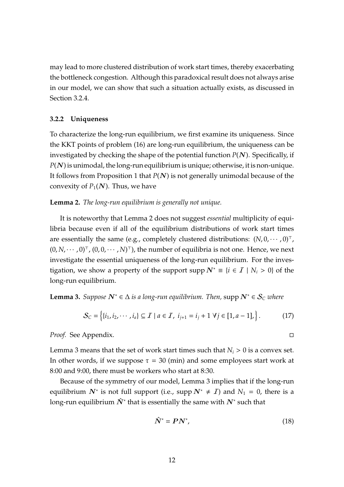may lead to more clustered distribution of work start times, thereby exacerbating the bottleneck congestion. Although this paradoxical result does not always arise in our model, we can show that such a situation actually exists, as discussed in Section 3.2.4.

#### **3.2.2 Uniqueness**

To characterize the long-run equilibrium, we first examine its uniqueness. Since the KKT points of problem (16) are long-run equilibrium, the uniqueness can be investigated by checking the shape of the potential function  $P(N)$ . Specifically, if *P*(N) is unimodal, the long-run equilibrium is unique; otherwise, it is non-unique. It follows from Proposition 1 that *P*(N) is not generally unimodal because of the convexity of  $P_1(N)$ . Thus, we have

#### **Lemma 2.** *The long-run equilibrium is generally not unique.*

It is noteworthy that Lemma 2 does not suggest *essential* multiplicity of equilibria because even if all of the equilibrium distributions of work start times are essentially the same (e.g., completely clustered distributions: (*N*, 0, · · · , 0)<sup>⊤</sup>,  $(0, N, \dots, 0)^\top$ ,  $(0, 0, \dots, N)^\top$ ), the number of equilibria is not one. Hence, we next investigate the essential uniqueness of the long-run equilibrium. For the investigation, we show a property of the support supp  $N^* \equiv \{i \in I \mid N_i > 0\}$  of the long-run equilibrium.

**Lemma 3.** *Suppose*  $N^*$  ∈  $\triangle$  *is a long-run equilibrium. Then,* supp  $N^*$  ∈  $S_C$  *where* 

$$
S_C = \{ \{i_1, i_2, \cdots, i_a\} \subseteq \mathcal{I} \mid a \in \mathcal{I}, i_{j+1} = i_j + 1 \,\forall j \in [1, a-1], \}.
$$
 (17)

*Proof.* See Appendix. □

Lemma 3 means that the set of work start times such that  $N_i > 0$  is a convex set. In other words, if we suppose  $\tau = 30$  (min) and some employees start work at 8:00 and 9:00, there must be workers who start at 8:30.

Because of the symmetry of our model, Lemma 3 implies that if the long-run equilibrium  $N^*$  is not full support (i.e., supp  $N^* \neq I$ ) and  $N_1 = 0$ , there is a long-run equilibrium  $\hat{N}^*$  that is essentially the same with  $N^*$  such that

$$
\hat{\mathbf{N}}^* = \mathbf{P}\mathbf{N}^*,\tag{18}
$$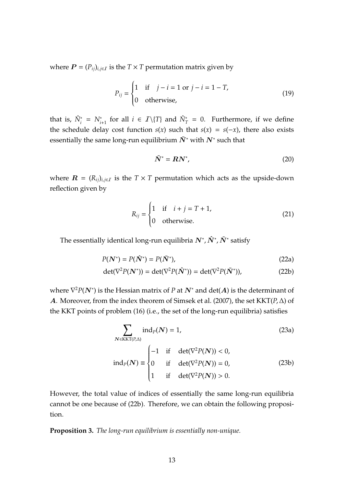where  $P = (P_{ij})_{i,i \in I}$  is the  $T \times T$  permutation matrix given by

$$
P_{ij} = \begin{cases} 1 & \text{if } j - i = 1 \text{ or } j - i = 1 - T, \\ 0 & \text{otherwise,} \end{cases} \tag{19}
$$

that is,  $\hat{N}_{i}^{*} = N_{i+1}^{*}$  for all  $i \in I \setminus \{T\}$  and  $\hat{N}_{T}^{*} = 0$ . Furthermore, if we define the schedule delay cost function *s*(*x*) such that *s*(*x*) = *s*(−*x*), there also exists essentially the same long-run equilibrium  $\tilde{N}^*$  with  $N^*$  such that

$$
\tilde{N}^* = RN^*,\tag{20}
$$

where  $\mathbf{R} = (R_{ij})_{i,j \in I}$  is the  $T \times T$  permutation which acts as the upside-down reflection given by

$$
R_{ij} = \begin{cases} 1 & \text{if } i + j = T + 1, \\ 0 & \text{otherwise.} \end{cases}
$$
 (21)

The essentially identical long-run equilibria  $N^*, \hat{N}^*, \tilde{N}^*$  satisfy

$$
P(\mathbf{N}^*) = P(\hat{\mathbf{N}}^*) = P(\tilde{\mathbf{N}}^*),
$$
\n(22a)

$$
\det(\nabla^2 P(\mathbf{\Lambda}^*)) = \det(\nabla^2 P(\hat{\mathbf{\Lambda}}^*)) = \det(\nabla^2 P(\tilde{\mathbf{\Lambda}}^*))
$$
\n(22b)

where  $\nabla^2 P(\bm{N}^*)$  is the Hessian matrix of  $P$  at  $\bm{N}^*$  and  $\text{det}(\bm{A})$  is the determinant of A. Moreover, from the index theorem of Simsek et al. (2007), the set KKT(*P*,∆) of the KKT points of problem (16) (i.e., the set of the long-run equilibria) satisfies

$$
\sum_{N \in \text{KKT}(P,\Delta)} \text{ind}_P(N) = 1,
$$
\n
$$
\text{ind}_P(N) = \begin{cases}\n-1 & \text{if } \det(\nabla^2 P(N)) < 0, \\
0 & \text{if } \det(\nabla^2 P(N)) = 0, \\
1 & \text{if } \det(\nabla^2 P(N)) > 0.\n\end{cases}
$$
\n
$$
(23b)
$$

However, the total value of indices of essentially the same long-run equilibria cannot be one because of (22b). Therefore, we can obtain the following proposition.

**Proposition 3.** *The long-run equilibrium is essentially non-unique.*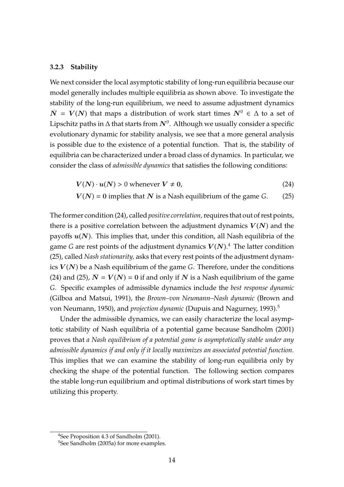#### **3.2.3 Stability**

We next consider the local asymptotic stability of long-run equilibria because our model generally includes multiple equilibria as shown above. To investigate the stability of the long-run equilibrium, we need to assume adjustment dynamics  $\dot{N} = V(N)$  that maps a distribution of work start times  $N^0 \in \Delta$  to a set of Lipschitz paths in  $\Delta$  that starts from  $\bm{N}^0.$  Although we usually consider a specific evolutionary dynamic for stability analysis, we see that a more general analysis is possible due to the existence of a potential function. That is, the stability of equilibria can be characterized under a broad class of dynamics. In particular, we consider the class of *admissible dynamics* that satisfies the following conditions:

 $V(N) \cdot u(N) > 0$  whenever  $V \neq 0$ , (24)

$$
V(N) = 0
$$
 implies that  $N$  is a Nash equilibrium of the game  $G$ . (25)

The former condition (24), called *positive correlation,*requires that out of rest points, there is a positive correlation between the adjustment dynamics  $V(N)$  and the payoffs  $u(N)$ . This implies that, under this condition, all Nash equilibria of the game *G* are rest points of the adjustment dynamics  $V(N)$ .<sup>4</sup> The latter condition (25), called *Nash stationarity,* asks that every rest points of the adjustment dynamics  $V(N)$  be a Nash equilibrium of the game *G*. Therefore, under the conditions (24) and (25),  $\dot{N} = V(N) = 0$  if and only if N is a Nash equilibrium of the game *G*. Specific examples of admissible dynamics include the *best response dynamic* (Gilboa and Matsui, 1991), the *Brown–von Neumann–Nash dynamic* (Brown and von Neumann, 1950), and *projection dynamic* (Dupuis and Nagurney, 1993).<sup>5</sup>

Under the admissible dynamics, we can easily characterize the local asymptotic stability of Nash equilibria of a potential game because Sandholm (2001) proves that *a Nash equilibrium of a potential game is asymptotically stable under any admissible dynamics if and only if it locally maximizes an associated potential function.* This implies that we can examine the stability of long-run equilibria only by checking the shape of the potential function. The following section compares the stable long-run equilibrium and optimal distributions of work start times by utilizing this property.

<sup>4</sup>See Proposition 4.3 of Sandholm (2001).

<sup>5</sup>See Sandholm (2005a) for more examples.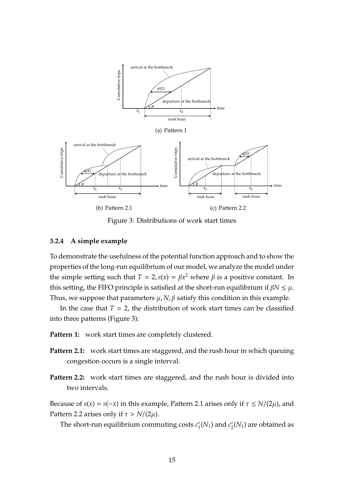

Figure 3: Distributions of work start times

#### **3.2.4 A simple example**

To demonstrate the usefulness of the potential function approach and to show the properties of the long-run equilibrium of our model, we analyze the model under the simple setting such that  $T = 2$ ,  $s(x) = \beta x^2$  where  $\beta$  is a positive constant. In this setting, the FIFO principle is satisfied at the short-run equilibrium if  $\beta N \leq \mu$ . Thus, we suppose that parameters  $\mu$ , *N*,  $\beta$  satisfy this condition in this example.

In the case that  $T = 2$ , the distribution of work start times can be classified into three patterns (Figure 3):

- Pattern 1: work start times are completely clustered.
- **Pattern 2.1:** work start times are staggered, and the rush hour in which queuing congestion occurs is a single interval.
- **Pattern 2.2:** work start times are staggered, and the rush hour is divided into two intervals.

Because of  $s(x) = s(-x)$  in this example, Pattern 2.1 arises only if  $\tau \le N/(2\mu)$ , and Pattern 2.2 arises only if  $\tau > N/(2\mu)$ .

The short-run equilibrium commuting costs *c* ∗  $c_1^*(N_1)$  and  $c_2^*$  $\chi_2^*(N_1)$  are obtained as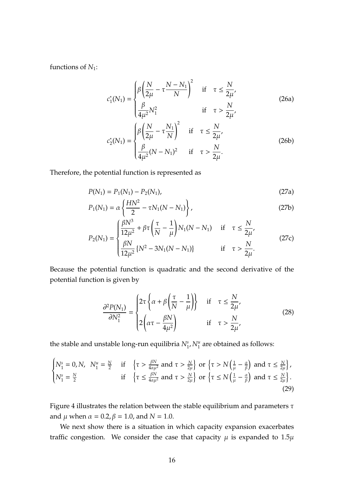functions of *N*<sub>1</sub>:

$$
c_1^*(N_1) = \begin{cases} \beta \left(\frac{N}{2\mu} - \tau \frac{N - N_1}{N}\right)^2 & \text{if } \tau \le \frac{N}{2\mu}, \\ \frac{\beta}{4\mu^2} N_1^2 & \text{if } \tau > \frac{N}{2\mu}, \end{cases}
$$
(26a)

$$
c_{2}^{*}(N_{1}) = \begin{cases} \beta \left(\frac{N}{2\mu} - \tau \frac{N_{1}}{N}\right)^{2} & \text{if } \tau \leq \frac{N}{2\mu}, \\ \frac{\beta}{4\mu^{2}}(N - N_{1})^{2} & \text{if } \tau > \frac{N}{2\mu}. \end{cases}
$$
(26b)

Therefore, the potential function is represented as

$$
P(N_1) = P_1(N_1) - P_2(N_1),
$$
\n(27a)

$$
P_1(N_1) = \alpha \left\{ \frac{HN^2}{2} - \tau N_1 (N - N_1) \right\},\tag{27b}
$$

$$
P_2(N_1) = \begin{cases} \frac{\beta N^3}{12\mu^2} + \beta \tau \left(\frac{\tau}{N} - \frac{1}{\mu}\right) N_1 (N - N_1) & \text{if } \tau \le \frac{N}{2\mu},\\ \frac{\beta N}{12\mu^2} \{N^2 - 3N_1 (N - N_1)\} & \text{if } \tau > \frac{N}{2\mu}. \end{cases}
$$
(27c)

Because the potential function is quadratic and the second derivative of the potential function is given by

$$
\frac{\partial^2 P(N_1)}{\partial N_1^2} = \begin{cases} 2\tau \left\{ \alpha + \beta \left( \frac{\tau}{N} - \frac{1}{\mu} \right) \right\} & \text{if } \tau \le \frac{N}{2\mu}, \\ 2\left( \alpha \tau - \frac{\beta N}{4\mu^2} \right) & \text{if } \tau > \frac{N}{2\mu}, \end{cases} \tag{28}
$$

the stable and unstable long-run equilibria  $N_1^s$ ,  $N_1^u$  are obtained as follows:

$$
\begin{cases}\nN_1^s = 0, N, & N_1^u = \frac{N}{2} & \text{if } \left\{\tau > \frac{\beta N}{4\alpha\mu^2} \text{ and } \tau > \frac{N}{2\mu}\right\} \text{ or } \left\{\tau > N\left(\frac{1}{\mu} - \frac{\alpha}{\beta}\right) \text{ and } \tau \le \frac{N}{2\mu}\right\}, \\
N_1^s = \frac{N}{2} & \text{if } \left\{\tau \le \frac{\beta N}{4\alpha\mu^2} \text{ and } \tau > \frac{N}{2\mu}\right\} \text{ or } \left\{\tau \le N\left(\frac{1}{\mu} - \frac{\alpha}{\beta}\right) \text{ and } \tau \le \frac{N}{2\mu}\right\}.\n\end{cases}
$$
\n(29)

Figure 4 illustrates the relation between the stable equilibrium and parameters  $\tau$ and  $\mu$  when  $\alpha = 0.2$ ,  $\beta = 1.0$ , and  $N = 1.0$ .

We next show there is a situation in which capacity expansion exacerbates traffic congestion. We consider the case that capacity  $\mu$  is expanded to 1.5 $\mu$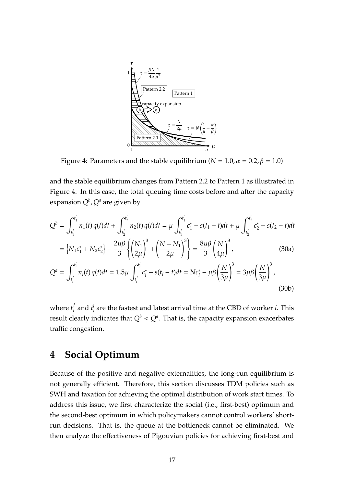

Figure 4: Parameters and the stable equilibrium ( $N = 1.0$ ,  $\alpha = 0.2$ ,  $\beta = 1.0$ )

and the stable equilibrium changes from Pattern 2.2 to Pattern 1 as illustrated in Figure 4. In this case, the total queuing time costs before and after the capacity expansion  $Q^b$ ,  $Q^a$  are given by

$$
Q^{b} = \int_{t_{1}^{i}}^{t_{1}^{i}} n_{1}(t) q(t)dt + \int_{t_{2}^{i}}^{t_{2}^{i}} n_{2}(t) q(t)dt = \mu \int_{t_{1}^{i}}^{t_{1}^{i}} c_{1}^{*} - s(t_{1} - t)dt + \mu \int_{t_{2}^{i}}^{t_{2}^{i}} c_{2}^{*} - s(t_{2} - t)dt
$$
  
\n
$$
= \left\{ N_{1}c_{1}^{*} + N_{2}c_{2}^{*} \right\} - \frac{2\mu\beta}{3} \left\{ \left( \frac{N_{1}}{2\mu} \right)^{3} + \left( \frac{N - N_{1}}{2\mu} \right)^{3} \right\} = \frac{8\mu\beta}{3} \left( \frac{N}{4\mu} \right)^{3}, \tag{30a}
$$
  
\n
$$
Q^{a} = \int_{t_{i}^{i}}^{t_{i}^{i}} n_{i}(t) q(t)dt = 1.5\mu \int_{t_{i}^{i}}^{t_{i}^{i}} c_{i}^{*} - s(t_{i} - t)dt = Nc_{i}^{*} - \mu\beta \left( \frac{N}{3\mu} \right)^{3} = 3\mu\beta \left( \frac{N}{3\mu} \right)^{3}, \tag{30b}
$$

where  $t_i^f$  $\int\limits_i^f$  and  $t^l_i$ *i* are the fastest and latest arrival time at the CBD of worker *i*. This result clearly indicates that *Q<sup>b</sup>* < *Q<sup>a</sup>* . That is, the capacity expansion exacerbates traffic congestion.

# **4 Social Optimum**

Because of the positive and negative externalities, the long-run equilibrium is not generally efficient. Therefore, this section discusses TDM policies such as SWH and taxation for achieving the optimal distribution of work start times. To address this issue, we first characterize the social (i.e., first-best) optimum and the second-best optimum in which policymakers cannot control workers' shortrun decisions. That is, the queue at the bottleneck cannot be eliminated. We then analyze the effectiveness of Pigouvian policies for achieving first-best and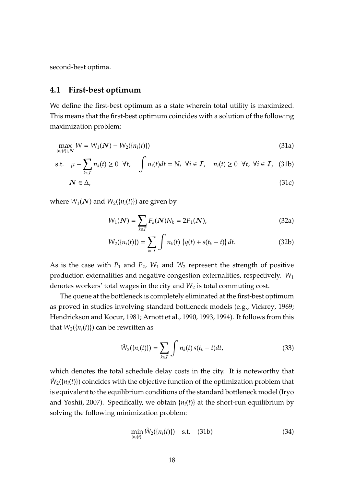second-best optima.

### **4.1 First-best optimum**

We define the first-best optimum as a state wherein total utility is maximized. This means that the first-best optimum coincides with a solution of the following maximization problem:

$$
\max_{\{n_i(t)\},\mathbf{N}} W = W_1(\mathbf{N}) - W_2(\{n_i(t)\})
$$
\n(31a)

$$
\text{s.t.} \quad \mu - \sum_{k \in \mathcal{I}} n_k(t) \ge 0 \ \ \forall t, \quad \int n_i(t) dt = N_i \ \ \forall i \in \mathcal{I}, \quad n_i(t) \ge 0 \ \ \forall t, \ \forall i \in \mathcal{I}, \tag{31b}
$$

$$
N \in \Delta,\tag{31c}
$$

where  $W_1(N)$  and  $W_2({n_i(t)})$  are given by

$$
W_1(N) = \sum_{k \in I} F_k(N) N_k = 2P_1(N), \qquad (32a)
$$

$$
W_2(\{n_i(t)\}) = \sum_{k \in I} \int n_k(t) \{q(t) + s(t_k - t)\} dt.
$$
 (32b)

As is the case with  $P_1$  and  $P_2$ ,  $W_1$  and  $W_2$  represent the strength of positive production externalities and negative congestion externalities, respectively. *W*<sup>1</sup> denotes workers' total wages in the city and  $W_2$  is total commuting cost.

The queue at the bottleneck is completely eliminated at the first-best optimum as proved in studies involving standard bottleneck models (e.g., Vickrey, 1969; Hendrickson and Kocur, 1981; Arnott et al., 1990, 1993, 1994). It follows from this that  $W_2({n_i(t)})$  can be rewritten as

$$
\tilde{W}_2(\{n_i(t)\}) = \sum_{k \in \mathcal{I}} \int n_k(t) s(t_k - t) dt, \tag{33}
$$

which denotes the total schedule delay costs in the city. It is noteworthy that  $\tilde{W}_2(\lbrace n_i(t) \rbrace)$  coincides with the objective function of the optimization problem that is equivalent to the equilibrium conditions of the standard bottleneck model (Iryo and Yoshii, 2007). Specifically, we obtain  $\{n_i(t)\}$  at the short-run equilibrium by solving the following minimization problem:

$$
\min_{\{n_i(t)\}} \tilde{W}_2(\{n_i(t)\}) \quad \text{s.t.} \quad (31b) \tag{34}
$$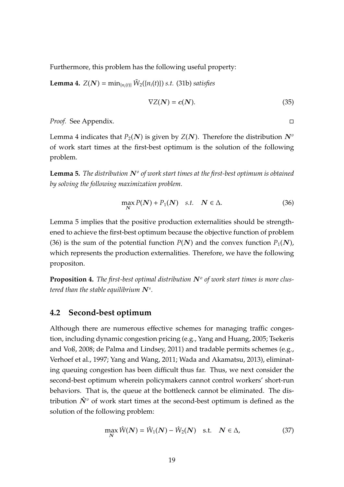Furthermore, this problem has the following useful property:

**Lemma 4.**  $Z(N) = \min_{\{n_i(t)\}} \tilde{W}_2(\{n_i(t)\}) \text{ s.t. (31b) satisfies}$ 

$$
\nabla Z(N) = c(N). \tag{35}
$$

*Proof.* See Appendix. □

Lemma 4 indicates that  $P_2(N)$  is given by  $Z(N)$ . Therefore the distribution  $N^{\circ}$ of work start times at the first-best optimum is the solution of the following problem.

**Lemma 5.** *The distribution* N*<sup>o</sup> of work start times at the first-best optimum is obtained by solving the following maximization problem.*

$$
\max_{N} P(N) + P_1(N) \quad s.t. \quad N \in \Delta. \tag{36}
$$

Lemma 5 implies that the positive production externalities should be strengthened to achieve the first-best optimum because the objective function of problem (36) is the sum of the potential function  $P(N)$  and the convex function  $P_1(N)$ , which represents the production externalities. Therefore, we have the following propositon.

**Proposition 4.** *The first-best optimal distribution* N*<sup>o</sup> of work start times is more clustered than the stable equilibrium* N*<sup>s</sup> .*

## **4.2 Second-best optimum**

Although there are numerous effective schemes for managing traffic congestion, including dynamic congestion pricing (e.g., Yang and Huang, 2005; Tsekeris and Voß, 2008; de Palma and Lindsey, 2011) and tradable permits schemes (e.g., Verhoef et al., 1997; Yang and Wang, 2011; Wada and Akamatsu, 2013), eliminating queuing congestion has been difficult thus far. Thus, we next consider the second-best optimum wherein policymakers cannot control workers' short-run behaviors. That is, the queue at the bottleneck cannot be eliminated. The distribution  $\hat{N}^{\circ}$  of work start times at the second-best optimum is defined as the solution of the following problem:

$$
\max_{N} \hat{W}(N) = \hat{W}_1(N) - \hat{W}_2(N) \quad \text{s.t.} \quad N \in \Delta,
$$
\n(37)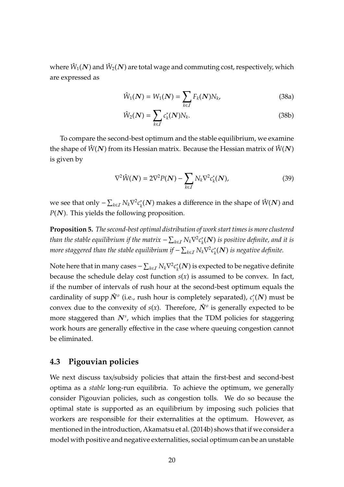where  $\hat{W}_1(\boldsymbol{N})$  and  $\hat{W}_2(\boldsymbol{N})$  are total wage and commuting cost, respectively, which are expressed as

$$
\hat{W}_1(\mathbf{N}) = W_1(\mathbf{N}) = \sum_{k \in \mathcal{I}} F_k(\mathbf{N}) N_k, \tag{38a}
$$

$$
\hat{W}_2(\mathbf{N}) = \sum_{k \in \mathcal{I}} c_k^*(\mathbf{N}) N_k. \tag{38b}
$$

To compare the second-best optimum and the stable equilibrium, we examine the shape of  $\hat{W}(N)$  from its Hessian matrix. Because the Hessian matrix of  $\hat{W}(N)$ is given by

$$
\nabla^2 \hat{W}(\mathbf{N}) = 2\nabla^2 P(\mathbf{N}) - \sum_{k \in \mathcal{I}} N_k \nabla^2 c_k^*(\mathbf{N}), \tag{39}
$$

we see that only  $-\sum_{k\in\mathcal{I}}N_k\nabla^2c_k^*$  $\hat{h}_k^*(\bm{N})$  makes a difference in the shape of  $\hat{W}(\bm{N})$  and *P*(*N*). This yields the following proposition.

**Proposition 5.** *The second-best optimal distribution of work start times is more clustered* than the stable equilibrium if the matrix  $-\sum_{k\in I} N_k\nabla^2c_k^*$ *k* (N) *is positive definite, and it is* more staggered than the stable equilibrium if  $-\sum_{k\in I} N_k\nabla^2c^*_k$ *k* (N) *is negative definite.*

Note here that in many cases  $-\sum_{k\in\mathcal{I}}N_k\nabla^2c_k^*$  $\mathcal{C}_k^*(\bm{N})$  is expected to be negative definite because the schedule delay cost function  $s(x)$  is assumed to be convex. In fact, if the number of intervals of rush hour at the second-best optimum equals the cardinality of supp  $\hat{\mathbf{N}}^o$  (i.e., rush hour is completely separated),  $c_i^*$  $\mathcal{C}_i^*(\bm{N})$  must be convex due to the convexity of  $s(x)$ . Therefore,  $\hat{\mathbf{N}}^o$  is generally expected to be more staggered than  $N^s$ , which implies that the TDM policies for staggering work hours are generally effective in the case where queuing congestion cannot be eliminated.

## **4.3 Pigouvian policies**

We next discuss tax/subsidy policies that attain the first-best and second-best optima as a *stable* long-run equilibria. To achieve the optimum, we generally consider Pigouvian policies, such as congestion tolls. We do so because the optimal state is supported as an equilibrium by imposing such policies that workers are responsible for their externalities at the optimum. However, as mentioned in the introduction, Akamatsu et al. (2014b) shows that if we consider a model with positive and negative externalities, social optimum can be an unstable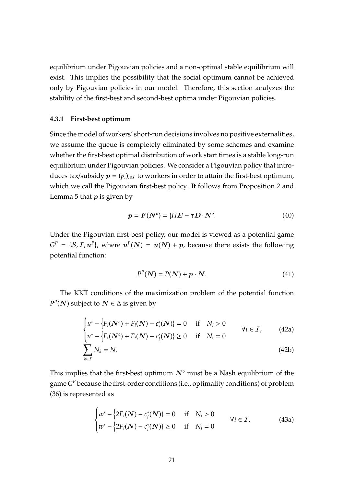equilibrium under Pigouvian policies and a non-optimal stable equilibrium will exist. This implies the possibility that the social optimum cannot be achieved only by Pigouvian policies in our model. Therefore, this section analyzes the stability of the first-best and second-best optima under Pigouvian policies.

#### **4.3.1 First-best optimum**

Since the model of workers' short-run decisions involves no positive externalities, we assume the queue is completely eliminated by some schemes and examine whether the first-best optimal distribution of work start times is a stable long-run equilibrium under Pigouvian policies. We consider a Pigouvian policy that introduces tax/subsidy  $p = (p_i)_{i \in I}$  to workers in order to attain the first-best optimum, which we call the Pigouvian first-best policy. It follows from Proposition 2 and Lemma 5 that  $p$  is given by

$$
p = F(No) = \{HE - \tau D\} No.
$$
 (40)

Under the Pigouvian first-best policy, our model is viewed as a potential game  $G^P = \{S, I, u^P\}$ , where  $u^P(N) = u(N) + p$ , because there exists the following potential function:

$$
P^{P}(N) = P(N) + p \cdot N. \tag{41}
$$

The KKT conditions of the maximization problem of the potential function  $P^p(\boldsymbol{N})$  subject to  $\boldsymbol{N}\in\Delta$  is given by

$$
\begin{cases}\nu^* - \{F_i(\mathbf{N}^o) + F_i(\mathbf{N}) - c_i^*(\mathbf{N})\} = 0 & \text{if } N_i > 0 \\
\nu^* - \{F_i(\mathbf{N}^o) + F_i(\mathbf{N}) - c_i^*(\mathbf{N})\} \ge 0 & \text{if } N_i = 0\n\end{cases} \quad \forall i \in \mathcal{I},
$$
\n(42a)  
\n
$$
\sum_{k \in \mathcal{I}} N_k = N.
$$
\n(42b)

This implies that the first-best optimum  $N<sup>o</sup>$  must be a Nash equilibrium of the game *G <sup>P</sup>* because the first-order conditions (i.e., optimality conditions) of problem (36) is represented as

$$
\begin{cases} w^* - \{2F_i(\mathbf{N}) - c_i^*(\mathbf{N})\} = 0 & \text{if } N_i > 0 \\ w^* - \{2F_i(\mathbf{N}) - c_i^*(\mathbf{N})\} \ge 0 & \text{if } N_i = 0 \end{cases} \qquad \forall i \in \mathcal{I},
$$
 (43a)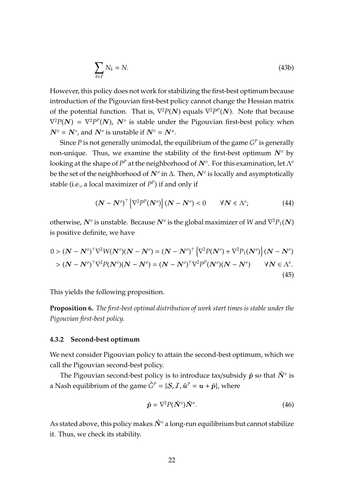$$
\sum_{k \in \mathcal{I}} N_k = N. \tag{43b}
$$

However, this policy does not work for stabilizing the first-best optimum because introduction of the Pigouvian first-best policy cannot change the Hessian matrix of the potential function. That is,  $\nabla^2 P(N)$  equals  $\nabla^2 P^P(N)$ . Note that because  $\nabla^2 P(\boldsymbol{N}) = \nabla^2 P^P(\boldsymbol{N})$ ,  $\boldsymbol{N}^o$  is stable under the Pigouvian first-best policy when  $N^o = N^s$ , and  $N^o$  is unstable if  $N^o = N^u$ .

Since  $P$  is not generally unimodal*,* the equilibrium of the game  $G^P$  is generally non-unique. Thus, we examine the stability of the first-best optimum  $N^{\circ}$  by looking at the shape of  $P^p$  at the neighborhood of  $\bm{N}^o$ . For this examination, let  $\Lambda^o$ be the set of the neighborhood of  $\bm{N}^o$  in ∆. Then*,*  $\bm{N}^o$  is locally and asymptotically stable (i.e., a local maximizer of *P P* ) if and only if

$$
(\boldsymbol{N} - \boldsymbol{N}^o)^\top \left\{ \nabla^2 P^P(\boldsymbol{N}^o) \right\} (\boldsymbol{N} - \boldsymbol{N}^o) < 0 \qquad \forall \boldsymbol{N} \in \Lambda^o; \tag{44}
$$

otherwise*,*  $N^o$  is unstable. Because  $N^o$  is the global maximizer of  $W$  and  $\nabla^2 P_1(\bm{N})$ is positive definite, we have

$$
0 > (N - N^o)^{\top} \nabla^2 W(N^o)(N - N^o) = (N - N^o)^{\top} \left\{ \nabla^2 P(N^o) + \nabla^2 P_1(N^o) \right\} (N - N^o)
$$
  
> 
$$
(N - N^o)^{\top} \nabla^2 P(N^o)(N - N^o) = (N - N^o)^{\top} \nabla^2 P^P(N^o)(N - N^o) \qquad \forall N \in \Lambda^o.
$$
 (45)

This yields the following proposition.

**Proposition 6.** *The first-best optimal distribution of work start times is stable under the Pigouvian first-best policy.*

#### **4.3.2 Second-best optimum**

We next consider Pigouvian policy to attain the second-best optimum, which we call the Pigouvian second-best policy.

The Pigouvian second-best policy is to introduce tax/subsidy  $\hat{p}$  so that  $\hat{N}^{\scriptscriptstyle O}$  is a Nash equilibrium of the game  $\hat{G}^P = \{\mathcal{\bm{S}},\mathcal{I},\hat{\bm{u}}^P=\bm{u}+\hat{\bm{p}}\}$ , where

$$
\hat{\mathbf{p}} = \nabla^2 P(\hat{\mathbf{N}}^o) \hat{\mathbf{N}}^o. \tag{46}
$$

As stated above, this policy makes  $\hat{N}^{\circ}$  a long-run equilibrium but cannot stabilize it. Thus, we check its stability.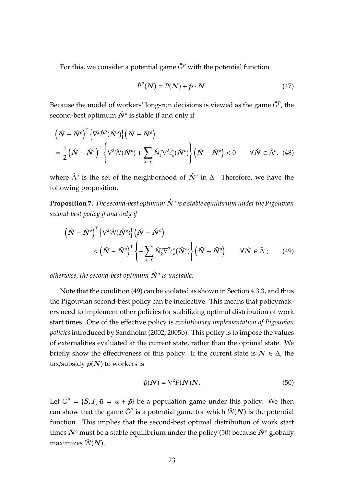For this, we consider a potential game  $\hat{G}^P$  with the potential function

$$
\hat{P}^P(N) = P(N) + \hat{p} \cdot N. \tag{47}
$$

Because the model of workers' long-run decisions is viewed as the game  $\hat{G}^p$ , the second-best optimum  $\hat N^{\scriptscriptstyle\mathit{0}}$  is stable if and only if

$$
\begin{aligned}\n&\left(\hat{N} - \hat{N}^o\right)^{\top} \left\{\nabla^2 \hat{P}^P(\hat{N}^o)\right\} \left(\hat{N} - \hat{N}^o\right) \\
&= \frac{1}{2} \left(\hat{N} - \hat{N}^o\right)^{\top} \left\{\nabla^2 \hat{W}(\hat{N}^o) + \sum_{k \in \mathcal{I}} \hat{N}_k^o \nabla^2 c_k^*(\hat{N}^o)\right\} \left(\hat{N} - \hat{N}^o\right) < 0 \qquad \forall \hat{N} \in \hat{\Lambda}^o,\tag{48}\n\end{aligned}
$$

where  $\hat{\Lambda}^o$  is the set of the neighborhood of  $\hat{\mathcal{N}}^o$  in ∆. Therefore, we have the following proposition.

**Proposition 7.** The second-best optimum  $\hat{\mathbf{N}}^o$  is a stable equilibrium under the Pigouvian *second-best policy if and only if*

$$
\begin{aligned}\n\left(\hat{\mathbf{N}} - \hat{\mathbf{N}}^o\right)^{\top} \left\{\nabla^2 \hat{\mathbf{W}}(\hat{\mathbf{N}}^o)\right\} \left(\hat{\mathbf{N}} - \hat{\mathbf{N}}^o\right) \\
&< \left(\hat{\mathbf{N}} - \hat{\mathbf{N}}^o\right)^{\top} \left\{-\sum_{k \in \mathcal{I}} \hat{N}_k^o \nabla^2 c_k^*(\hat{\mathbf{N}}^o)\right\} \left(\hat{\mathbf{N}} - \hat{\mathbf{N}}^o\right) \qquad \forall \hat{\mathbf{N}} \in \hat{\Lambda}^o; \qquad (49)\n\end{aligned}
$$

*otherwise, the second-best optimum*  $\hat N$ *° is unstable.* 

Note that the condition (49) can be violated as shown in Section 4.3.3, and thus the Pigouvian second-best policy can be ineffective. This means that policymakers need to implement other policies for stabilizing optimal distribution of work start times. One of the effective policy is *evolutionary implementation of Pigouvian policies*introduced by Sandholm (2002, 2005b). This policy is to impose the values of externalities evaluated at the current state, rather than the optimal state. We briefly show the effectiveness of this policy. If the current state is  $N \in \Delta$ , the tax/subsidy  $\tilde{p}(N)$  to workers is

$$
\tilde{p}(N) = \nabla^2 P(N) N. \tag{50}
$$

Let  $\tilde{G}^P = \{S, I, \tilde{u} = u + \tilde{p}\}\$ be a population game under this policy. We then can show that the game  $\tilde{G}^P$  is a potential game for which  $\hat{W}(\bm{N})$  is the potential function. This implies that the second-best optimal distribution of work start times  $\hat{N}^{\circ}$  must be a stable equilibrium under the policy (50) because  $\hat{N}^{\circ}$  globally maximizes  $\hat{W}(N)$ .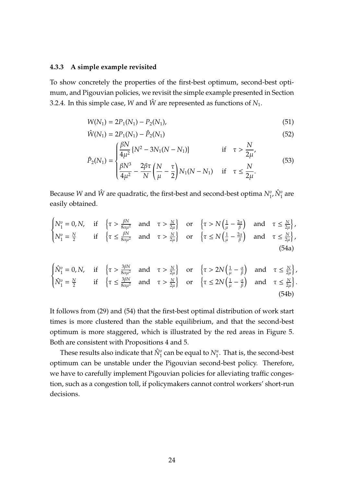#### **4.3.3 A simple example revisited**

To show concretely the properties of the first-best optimum, second-best optimum, and Pigouvian policies, we revisit the simple example presented in Section 3.2.4. In this simple case, *W* and  $\hat{W}$  are represented as functions of  $N_1$ .

$$
W(N_1) = 2P_1(N_1) - P_2(N_1), \tag{51}
$$

$$
\hat{W}(N_1) = 2P_1(N_1) - \hat{P}_2(N_1)
$$
\n(52)

$$
\hat{P}_2(N_1) = \begin{cases}\n\frac{\beta N}{4\mu^2} \{N^2 - 3N_1(N - N_1)\} & \text{if } \tau > \frac{N}{2\mu}, \\
\frac{\beta N^3}{4\mu^2} - \frac{2\beta \tau}{N} \left(\frac{N}{\mu} - \frac{\tau}{2}\right) N_1(N - N_1) & \text{if } \tau \le \frac{N}{2\mu}.\n\end{cases}
$$
\n(53)

Because *W* and  $\hat{W}$  are quadratic, the first-best and second-best optima  $N^o_1$ ,  $\hat{N}^o_1$  are easily obtained.

$$
\begin{cases}\nN_1^o = 0, N, & \text{if } \left\{\tau > \frac{\beta N}{8\alpha\mu^2} \text{ and } \tau > \frac{N}{2\mu}\right\} \text{ or } \left\{\tau > N\left(\frac{1}{\mu} - \frac{2\alpha}{\beta}\right) \text{ and } \tau \le \frac{N}{2\mu}\right\}, \\
N_1^o = \frac{N}{2} & \text{if } \left\{\tau \le \frac{\beta N}{8\alpha\mu^2} \text{ and } \tau > \frac{N}{2\mu}\right\} \text{ or } \left\{\tau \le N\left(\frac{1}{\mu} - \frac{2\alpha}{\beta}\right) \text{ and } \tau \le \frac{N}{2\mu}\right\},\n\end{cases}
$$
\n(54a)

$$
\begin{cases}\n\hat{N}_{1}^{\circ} = 0, N, & \text{if } \left\{ \tau > \frac{3\beta N}{8\alpha\mu^{2}} \text{ and } \tau > \frac{N}{2\mu} \right\} \text{ or } \left\{ \tau > 2N\left(\frac{1}{\mu} - \frac{\alpha}{\beta}\right) \text{ and } \tau \leq \frac{N}{2\mu} \right\}, \\
\hat{N}_{1}^{\circ} = \frac{N}{2} & \text{if } \left\{ \tau \leq \frac{3\beta N}{8\alpha\mu^{2}} \text{ and } \tau > \frac{N}{2\mu} \right\} \text{ or } \left\{ \tau \leq 2N\left(\frac{1}{\mu} - \frac{\alpha}{\beta}\right) \text{ and } \tau \leq \frac{N}{2\mu} \right\}.\n\end{cases}
$$
\n(54b)

It follows from (29) and (54) that the first-best optimal distribution of work start times is more clustered than the stable equilibrium, and that the second-best optimum is more staggered, which is illustrated by the red areas in Figure 5. Both are consistent with Propositions 4 and 5.

These results also indicate that  $\hat{N}_1^o$  can be equal to  $N_1^u$ . That is, the second-best optimum can be unstable under the Pigouvian second-best policy. Therefore, we have to carefully implement Pigouvian policies for alleviating traffic congestion, such as a congestion toll, if policymakers cannot control workers' short-run decisions.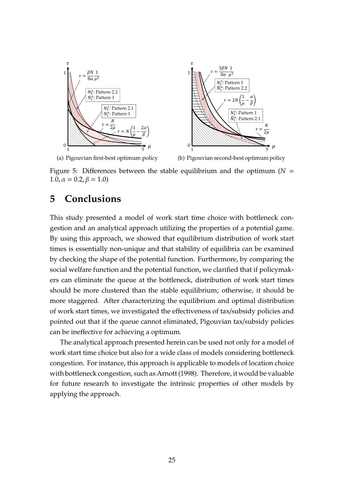

Figure 5: Differences between the stable equilibrium and the optimum  $(N =$  $1.0, \alpha = 0.2, \beta = 1.0$ 

# **5 Conclusions**

This study presented a model of work start time choice with bottleneck congestion and an analytical approach utilizing the properties of a potential game. By using this approach, we showed that equilibrium distribution of work start times is essentially non-unique and that stability of equilibria can be examined by checking the shape of the potential function. Furthermore, by comparing the social welfare function and the potential function, we clarified that if policymakers can eliminate the queue at the bottleneck, distribution of work start times should be more clustered than the stable equilibrium; otherwise, it should be more staggered. After characterizing the equilibrium and optimal distribution of work start times, we investigated the effectiveness of tax/subsidy policies and pointed out that if the queue cannot eliminated, Pigouvian tax/subsidy policies can be ineffective for achieving a optimum.

The analytical approach presented herein can be used not only for a model of work start time choice but also for a wide class of models considering bottleneck congestion. For instance, this approach is applicable to models of location choice with bottleneck congestion, such as Arnott (1998). Therefore, it would be valuable for future research to investigate the intrinsic properties of other models by applying the approach.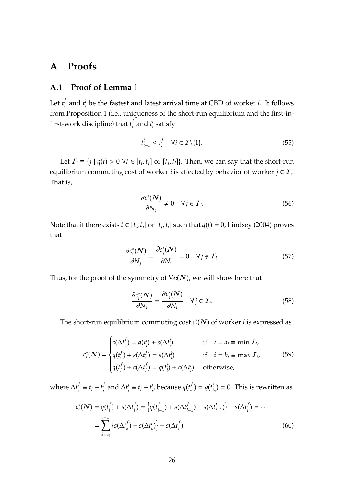# **A Proofs**

## **A.1 Proof of Lemma** 1

Let *t f*  $\int\limits_i^f$  and  $t^l_i$ *i* be the fastest and latest arrival time at CBD of worker *i*. It follows from Proposition 1 (i.e., uniqueness of the short-run equilibrium and the first-infirst-work discipline) that *t f*  $\int\limits_i^f$  and  $t^l_i$ *i* satisfy

$$
t_{i-1}^l \le t_i^f \quad \forall i \in \mathcal{I} \setminus \{1\}.\tag{55}
$$

Let  $\mathcal{I}_i \equiv \{j \mid q(t) > 0 \ \forall t \in [t_i, t_j] \text{ or } [t_j, t_i]\}.$  Then, we can say that the short-run equilibrium commuting cost of worker *i* is affected by behavior of worker  $j \in \mathcal{I}_i$ . That is,

$$
\frac{\partial c_i^*(N)}{\partial N_j} \neq 0 \quad \forall j \in \mathcal{I}_i. \tag{56}
$$

Note that if there exists  $t \in [t_i, t_j]$  or  $[t_j, t_i]$  such that  $q(t) = 0$ , Lindsey (2004) proves that

$$
\frac{\partial c_i^*(N)}{\partial N_j} = \frac{\partial c_j^*(N)}{\partial N_i} = 0 \quad \forall j \notin \mathcal{I}_i.
$$
 (57)

Thus, for the proof of the symmetry of  $\nabla c(N)$ , we will show here that

$$
\frac{\partial c_i^*(N)}{\partial N_j} = \frac{\partial c_j^*(N)}{\partial N_i} \quad \forall j \in \mathcal{I}_i.
$$
\n(58)

The short-run equilibrium commuting cost *c* ∗  $i_i^*(N)$  of worker *i* is expressed as

$$
c_i^*(\mathbf{N}) = \begin{cases} s(\Delta t_i^f) = q(t_i^l) + s(\Delta t_i^l) & \text{if } i = a_i \equiv \min \mathcal{I}_i, \\ q(t_i^f) + s(\Delta t_i^f) = s(\Delta t_i^l) & \text{if } i = b_i \equiv \max \mathcal{I}_i, \\ q(t_i^f) + s(\Delta t_i^f) = q(t_i^l) + s(\Delta t_i^l) & \text{otherwise,} \end{cases}
$$
(59)

where ∆*t f*  $\int_{i}^{f} \equiv t_i - t_i^f$  $\int\limits_i^f$  and  $\Delta t^l_i$  $i_i^l \equiv t_i - t_i^l$  $i_t^l$ , because  $q(t_a^l)$  $\alpha_i$ <sup>*j*</sup> = *q*(*t*<sup>*l<sub>l</sub>*</sup>  $\binom{l}{b_i}$  = 0. This is rewritten as

$$
c_i^*(\mathbf{N}) = q(t_i^f) + s(\Delta t_i^f) = \left\{ q(t_{i-1}^f) + s(\Delta t_{i-1}^f) - s(\Delta t_{i-1}^l) \right\} + s(\Delta t_i^f) = \cdots
$$
  
= 
$$
\sum_{k=a_i}^{i-1} \left\{ s(\Delta t_k^f) - s(\Delta t_k^l) \right\} + s(\Delta t_i^f).
$$
 (60)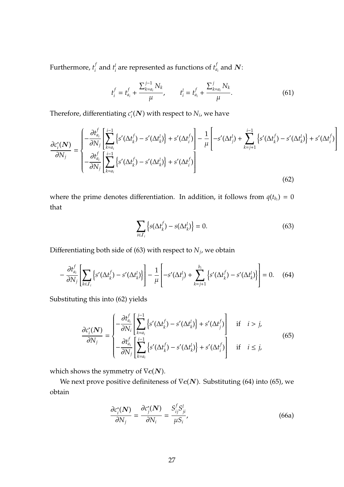Furthermore, *t f*  $\int_i^f$  and  $t^l_i$  $\frac{l}{i}$  are represented as functions of  $t_a^f$  $_{a_i}^j$  and  $\boldsymbol{N}$ :

$$
t_i^f = t_{a_i}^f + \frac{\sum_{k=a_i}^{j-1} N_k}{\mu}, \qquad t_i^l = t_{a_i}^f + \frac{\sum_{k=a_i}^{j} N_k}{\mu}.
$$
 (61)

Therefore, differentiating *c* ∗  $C_i^*(\boldsymbol{N})$  with respect to  $N_i$ , we have

$$
\frac{\partial c_i^*(\mathbf{N})}{\partial N_j} = \begin{cases}\n-\frac{\partial t_{a_i}^f}{\partial N_j} \left[ \sum_{k=a_i}^{i-1} \left\{ s'(\Delta t_k^f) - s'(\Delta t_k^l) \right\} + s'(\Delta t_i^f) \right] - \frac{1}{\mu} \left[ -s'(\Delta t_j^l) + \sum_{k=j+1}^{i-1} \left\{ s'(\Delta t_k^f) - s'(\Delta t_k^l) \right\} + s'(\Delta t_i^f) \right] \\
-\frac{\partial t_{a_i}^f}{\partial N_j} \left[ \sum_{k=a_i}^{i-1} \left\{ s'(\Delta t_k^f) - s'(\Delta t_k^l) \right\} + s'(\Delta t_i^f) \right]\n\end{cases}
$$
\n(62)

where the prime denotes differentiation. In addition, it follows from  $q(t_{b_i}) = 0$ that

$$
\sum_{i \in \mathcal{I}_i} \left\{ s(\Delta t_k^f) - s(\Delta t_k^l) \right\} = 0. \tag{63}
$$

1  $\overline{\phantom{a}}$ 

Differentiating both side of (63) with respect to *N<sup>j</sup>* , we obtain

$$
-\frac{\partial t_{a_i}^f}{\partial N_j} \left[ \sum_{k \in \mathcal{I}_i} \left\{ s'(\Delta t_k^f) - s'(\Delta t_k^l) \right\} \right] - \frac{1}{\mu} \left[ -s'(\Delta t_j^l) + \sum_{k=j+1}^{b_i} \left\{ s'(\Delta t_k^f) - s'(\Delta t_k^l) \right\} \right] = 0. \quad (64)
$$

Substituting this into (62) yields

$$
\frac{\partial c_i^*(\mathbf{N})}{\partial N_j} = \begin{cases}\n-\frac{\partial t_{a_i}^f}{\partial N_i} \left[ \sum_{k=a_i}^{j-1} \left\{ s'(\Delta t_k^f) - s'(\Delta t_k^l) \right\} + s'(\Delta t_j^f) \right] & \text{if } i > j, \\
-\frac{\partial t_{a_i}^f}{\partial N_j} \left[ \sum_{k=a_i}^{i-1} \left\{ s'(\Delta t_k^f) - s'(\Delta t_k^l) \right\} + s'(\Delta t_i^f) \right] & \text{if } i \leq j,\n\end{cases}\n\tag{65}
$$

which shows the symmetry of  $\nabla c(N)$ .

We next prove positive definiteness of  $\nabla c(N)$ . Substituting (64) into (65), we obtain

$$
\frac{\partial c_i^*(N)}{\partial N_j} = \frac{\partial c_j^*(N)}{\partial N_i} = \frac{S_{ij}^f S_{ji}^l}{\mu S_i},\tag{66a}
$$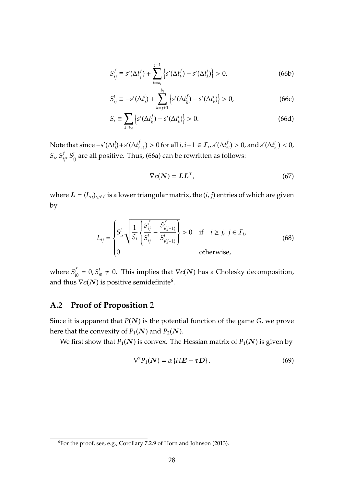$$
S_{ij}^{f} \equiv s'(\Delta t_{j}^{f}) + \sum_{k=a_{i}}^{j-1} \left\{ s'(\Delta t_{k}^{f}) - s'(\Delta t_{k}^{i}) \right\} > 0,
$$
\n(66b)

$$
S_{ij}^{l} \equiv -s'(\Delta t_j^{l}) + \sum_{k=j+1}^{b_i} \left\{ s'(\Delta t_k^{f}) - s'(\Delta t_k^{l}) \right\} > 0,
$$
 (66c)

$$
S_i \equiv \sum_{k \in S_i} \left\{ s'(\Delta t_k^f) - s'(\Delta t_k^l) \right\} > 0. \tag{66d}
$$

Note that since −*s* ′ (∆*t l*  $\binom{l}{i}$ +*s*<sup> $\prime$ </sup>( $\Delta t$ <sup>*f*</sup><sub>*i*</sub> *f*<sub>*i*+1</sub></sub> $) > 0$  for all *i*, *i* + 1 ∈  $\mathcal{I}$ <sub>*i*</sub>, *s*'(∆*t*<sub>*d*</sub><sup>*t*</sup></sup>  $\binom{f}{a_i}>0$ , and  $s'(\Delta t_i^l)$  $_{b_i}^l$ ) < 0,  $S_i$ ,  $S_{ij}^f$ ,  $S_{ij}^l$  are all positive. Thus, (66a) can be rewritten as follows:

$$
\nabla c(N) = LL^{\top},\tag{67}
$$

where  $L = (L_{ij})_{i,j \in I}$  is a lower triangular matrix, the  $(i, j)$  entries of which are given by

$$
L_{ij} = \begin{cases} S_{ii}^{l} \sqrt{\frac{1}{S_{i}} \left\{ \frac{S_{ij}^{f}}{S_{ij}^{l}} - \frac{S_{i(j-1)}^{f}}{S_{i(j-1)}^{l}} \right\}} > 0 & \text{if } i \geq j, j \in \mathcal{I}_{i}, \\ 0 & \text{otherwise}, \end{cases}
$$
(68)

where  $S_i^f$  $\frac{f}{i0} = 0, S_i^l$  $\mathbf{y}_{i0}^l \neq 0$ . This implies that  $\nabla \mathbf{c}(\mathbf{N})$  has a Cholesky decomposition, and thus  $\nabla \boldsymbol{c}(\boldsymbol{N})$  is positive semidefinite $^6$ .

## **A.2 Proof of Proposition** 2

Since it is apparent that  $P(N)$  is the potential function of the game  $G$ , we prove here that the convexity of  $P_1(N)$  and  $P_2(N)$ .

We first show that  $P_1(N)$  is convex. The Hessian matrix of  $P_1(N)$  is given by

$$
\nabla^2 P_1(N) = \alpha \left\{ H \mathbf{E} - \tau \mathbf{D} \right\}.
$$
 (69)

<sup>&</sup>lt;sup>6</sup>For the proof, see, e.g., Corollary 7.2.9 of Horn and Johnson (2013).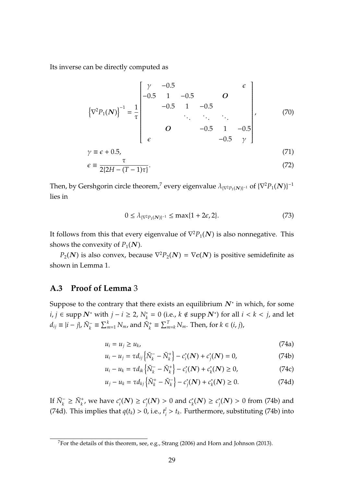Its inverse can be directly computed as

$$
\left\{\nabla^2 P_1(N)\right\}^{-1} = \frac{1}{\tau} \begin{bmatrix}\n\gamma & -0.5 & & & \varepsilon \\
-0.5 & 1 & -0.5 & & \varepsilon \\
& -0.5 & 1 & -0.5 & \\
& & \ddots & \ddots & \ddots \\
& & & -0.5 & 1 & -0.5 \\
& & & & -0.5 & \gamma\n\end{bmatrix},
$$
(70)  
\n
$$
\gamma \equiv \varepsilon + 0.5,
$$
(71)  
\n
$$
P_1 = \frac{\tau}{\tau}
$$

$$
\epsilon \equiv \frac{1}{2\{2H - (T - 1)\tau\}}.\tag{72}
$$

Then, by Gershgorin circle theorem,<sup>7</sup> every eigenvalue  $\lambda_{\{\nabla^2 P_1(\boldsymbol{N})\}^{-1}}$  of  $\{\nabla^2 P_1(\boldsymbol{N})\}^{-1}$ lies in

$$
0 \le \lambda_{\{\nabla^2 P_1(N)\}^{-1}} \le \max\{1 + 2\epsilon, 2\}.
$$
 (73)

It follows from this that every eigenvalue of  $\nabla^2 P_1(\boldsymbol{N})$  is also nonnegative. This shows the convexity of  $P_1(N)$ .

 $P_2(N)$  is also convex, because  $\nabla^2 P_2(N) = \nabla c(N)$  is positive semidefinite as shown in Lemma 1.

## **A.3 Proof of Lemma** 3

Suppose to the contrary that there exists an equilibrium  $N^*$  in which, for some *i*, *j* ∈ supp  $N^*$  with *j* − *i* ≥ 2,  $N^*_k$  = 0 (i.e.,  $k \notin \text{supp } N^*$ ) for all *i* <  $k$  < *j*, and let  $d_{ij} \equiv |i - j|$ ,  $\tilde{N}_k^- \equiv \sum_{m=1}^k N_m$ , and  $\tilde{N}_k^+ \equiv \sum_{m=k}^T N_m$ . Then, for  $k \in (i, j)$ ,

$$
u_i = u_j \ge u_k, \tag{74a}
$$

$$
u_i - u_j = \tau d_{ij} \left\{ \tilde{N}_k^- - \tilde{N}_k^+ \right\} - c_i^*(N) + c_j^*(N) = 0, \qquad (74b)
$$

$$
u_i - u_k = \tau d_{ik} \left\{ \tilde{N}_k^- - \tilde{N}_k^+ \right\} - c_i^*(N) + c_k^*(N) \ge 0, \tag{74c}
$$

$$
u_j - u_k = \tau d_{kj} \left\{ \tilde{N}_k^+ - \tilde{N}_k^- \right\} - c_j^*(N) + c_k^*(N) \ge 0.
$$
 (74d)

If  $\tilde{N}_k^- \ge \tilde{N}_k^+$ , we have  $c_i^*$  $\binom{*}{i}$ <sup>(</sup>N) ≥  $c_j^*$  $c^*_j(\boldsymbol{N}) > 0$  and  $c^*_k$  $k^*$ (**N**) ≥  $c^*$ <sub>j</sub>  $j^*_j$ ( $N$ ) > 0 from (74b) and (74d). This implies that  $q(t_k) > 0$ , i.e.,  $t_i^l$  $t_i > t_k$ . Furthermore, substituting (74b) into

<sup>&</sup>lt;sup>7</sup>For the details of this theorem, see, e.g., Strang (2006) and Horn and Johnson (2013).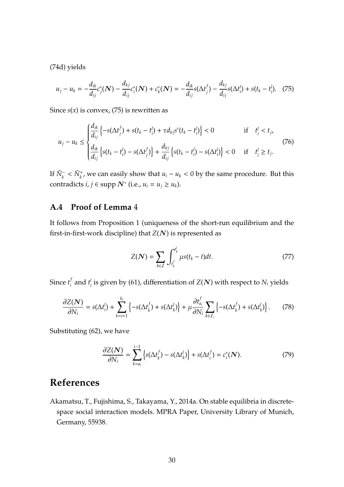(74d) yields

$$
u_j - u_k = -\frac{d_{ik}}{d_{ij}} c_j^*(N) - \frac{d_{kj}}{d_{ij}} c_i^*(N) + c_k^*(N) = -\frac{d_{ik}}{d_{ij}} s(\Delta t_j^f) - \frac{d_{kj}}{d_{ij}} s(\Delta t_i^j) + s(t_k - t_i^l). \tag{75}
$$

Since  $s(x)$  is convex, (75) is rewritten as

$$
u_j - u_k \le \begin{cases} \frac{d_{ik}}{d_{ij}} \left\{ -s(\Delta t_j^f) + s(t_k - t_i^l) + \tau d_{kj} s'(t_k - t_i^l) \right\} < 0 & \text{if } t_i^l < t_j, \\ \frac{d_{ik}}{d_{ij}} \left\{ s(t_k - t_i^l) - s(\Delta t_j^f) \right\} + \frac{d_{kj}}{d_{ij}} \left\{ s(t_k - t_i^l) - s(\Delta t_i^l) \right\} < 0 & \text{if } t_i^l \ge t_j. \end{cases} \tag{76}
$$

If  $\tilde{N}_k^- < \tilde{N}_k^+$ , we can easily show that  $u_i - u_k < 0$  by the same procedure. But this contradicts *i*, *j* ∈ supp  $N^*$  (i.e.,  $u_i = u_j \ge u_k$ ).

## **A.4 Proof of Lemma** 4

It follows from Proposition 1 (uniqueness of the short-run equilibrium and the first-in-first-work discipline) that  $Z(N)$  is represented as

$$
Z(\mathbf{N}) = \sum_{k \in \mathcal{I}} \int_{t_k^f}^{t_k^l} \mu s(t_k - t) dt.
$$
 (77)

Since *t f*  $\int_i^f$  and  $t_i^l$  $\mathbf{F}_i^l$  is given by (61), differentiation of  $\mathsf{Z}(\boldsymbol{N})$  with respect to  $N_i$  yields

$$
\frac{\partial Z(\mathbf{N})}{\partial N_i} = s(\Delta t_i^l) + \sum_{k=i+1}^{b_i} \left\{ -s(\Delta t_k^f) + s(\Delta t_k^l) \right\} + \mu \frac{\partial t_{a_i}^f}{\partial N_i} \sum_{k \in \mathcal{I}_i} \left\{ -s(\Delta t_k^f) + s(\Delta t_k^l) \right\}.
$$
 (78)

Substituting (62), we have

$$
\frac{\partial Z(\mathbf{N})}{\partial N_i} = \sum_{k=a_i}^{i-1} \left\{ s(\Delta t_k^f) - s(\Delta t_k^f) \right\} + s(\Delta t_i^f) = c_i^*(\mathbf{N}). \tag{79}
$$

# **References**

Akamatsu, T., Fujishima, S., Takayama, Y., 2014a. On stable equilibria in discretespace social interaction models. MPRA Paper, University Library of Munich, Germany, 55938.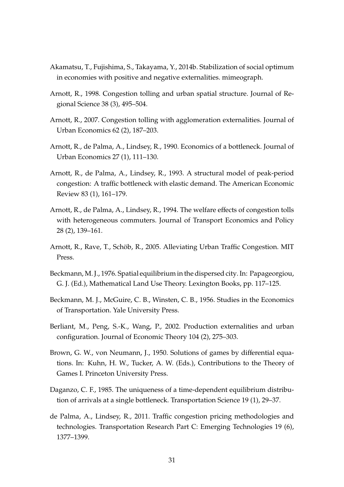- Akamatsu, T., Fujishima, S., Takayama, Y., 2014b. Stabilization of social optimum in economies with positive and negative externalities. mimeograph.
- Arnott, R., 1998. Congestion tolling and urban spatial structure. Journal of Regional Science 38 (3), 495–504.
- Arnott, R., 2007. Congestion tolling with agglomeration externalities. Journal of Urban Economics 62 (2), 187–203.
- Arnott, R., de Palma, A., Lindsey, R., 1990. Economics of a bottleneck. Journal of Urban Economics 27 (1), 111–130.
- Arnott, R., de Palma, A., Lindsey, R., 1993. A structural model of peak-period congestion: A traffic bottleneck with elastic demand. The American Economic Review 83 (1), 161–179.
- Arnott, R., de Palma, A., Lindsey, R., 1994. The welfare effects of congestion tolls with heterogeneous commuters. Journal of Transport Economics and Policy 28 (2), 139–161.
- Arnott, R., Rave, T., Schöb, R., 2005. Alleviating Urban Traffic Congestion. MIT Press.
- Beckmann, M. J., 1976. Spatial equilibrium in the dispersed city. In: Papageorgiou, G. J. (Ed.), Mathematical Land Use Theory. Lexington Books, pp. 117–125.
- Beckmann, M. J., McGuire, C. B., Winsten, C. B., 1956. Studies in the Economics of Transportation. Yale University Press.
- Berliant, M., Peng, S.-K., Wang, P., 2002. Production externalities and urban configuration. Journal of Economic Theory 104 (2), 275–303.
- Brown, G. W., von Neumann, J., 1950. Solutions of games by differential equations. In: Kuhn, H. W., Tucker, A. W. (Eds.), Contributions to the Theory of Games I. Princeton University Press.
- Daganzo, C. F., 1985. The uniqueness of a time-dependent equilibrium distribution of arrivals at a single bottleneck. Transportation Science 19 (1), 29–37.
- de Palma, A., Lindsey, R., 2011. Traffic congestion pricing methodologies and technologies. Transportation Research Part C: Emerging Technologies 19 (6), 1377–1399.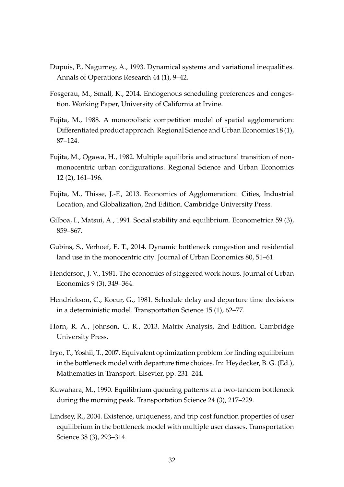- Dupuis, P., Nagurney, A., 1993. Dynamical systems and variational inequalities. Annals of Operations Research 44 (1), 9–42.
- Fosgerau, M., Small, K., 2014. Endogenous scheduling preferences and congestion. Working Paper, University of California at Irvine.
- Fujita, M., 1988. A monopolistic competition model of spatial agglomeration: Differentiated product approach. Regional Science and Urban Economics 18 (1), 87–124.
- Fujita, M., Ogawa, H., 1982. Multiple equilibria and structural transition of nonmonocentric urban configurations. Regional Science and Urban Economics 12 (2), 161–196.
- Fujita, M., Thisse, J.-F., 2013. Economics of Agglomeration: Cities, Industrial Location, and Globalization, 2nd Edition. Cambridge University Press.
- Gilboa, I., Matsui, A., 1991. Social stability and equilibrium. Econometrica 59 (3), 859–867.
- Gubins, S., Verhoef, E. T., 2014. Dynamic bottleneck congestion and residential land use in the monocentric city. Journal of Urban Economics 80, 51–61.
- Henderson, J. V., 1981. The economics of staggered work hours. Journal of Urban Economics 9 (3), 349–364.
- Hendrickson, C., Kocur, G., 1981. Schedule delay and departure time decisions in a deterministic model. Transportation Science 15 (1), 62–77.
- Horn, R. A., Johnson, C. R., 2013. Matrix Analysis, 2nd Edition. Cambridge University Press.
- Iryo, T., Yoshii, T., 2007. Equivalent optimization problem for finding equilibrium in the bottleneck model with departure time choices. In: Heydecker, B. G. (Ed.), Mathematics in Transport. Elsevier, pp. 231–244.
- Kuwahara, M., 1990. Equilibrium queueing patterns at a two-tandem bottleneck during the morning peak. Transportation Science 24 (3), 217–229.
- Lindsey, R., 2004. Existence, uniqueness, and trip cost function properties of user equilibrium in the bottleneck model with multiple user classes. Transportation Science 38 (3), 293–314.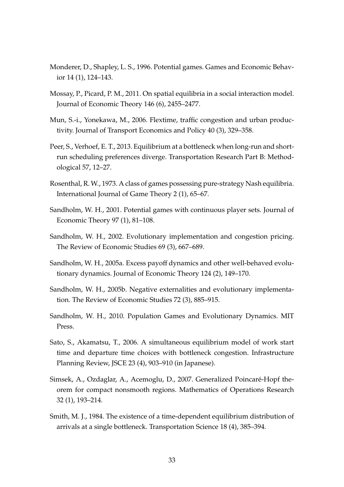- Monderer, D., Shapley, L. S., 1996. Potential games. Games and Economic Behavior 14 (1), 124–143.
- Mossay, P., Picard, P. M., 2011. On spatial equilibria in a social interaction model. Journal of Economic Theory 146 (6), 2455–2477.
- Mun, S.-i., Yonekawa, M., 2006. Flextime, traffic congestion and urban productivity. Journal of Transport Economics and Policy 40 (3), 329–358.
- Peer, S., Verhoef, E. T., 2013. Equilibrium at a bottleneck when long-run and shortrun scheduling preferences diverge. Transportation Research Part B: Methodological 57, 12–27.
- Rosenthal, R. W., 1973. A class of games possessing pure-strategy Nash equilibria. International Journal of Game Theory 2 (1), 65–67.
- Sandholm, W. H., 2001. Potential games with continuous player sets. Journal of Economic Theory 97 (1), 81–108.
- Sandholm, W. H., 2002. Evolutionary implementation and congestion pricing. The Review of Economic Studies 69 (3), 667–689.
- Sandholm, W. H., 2005a. Excess payoff dynamics and other well-behaved evolutionary dynamics. Journal of Economic Theory 124 (2), 149–170.
- Sandholm, W. H., 2005b. Negative externalities and evolutionary implementation. The Review of Economic Studies 72 (3), 885–915.
- Sandholm, W. H., 2010. Population Games and Evolutionary Dynamics. MIT Press.
- Sato, S., Akamatsu, T., 2006. A simultaneous equilibrium model of work start time and departure time choices with bottleneck congestion. Infrastructure Planning Review, JSCE 23 (4), 903–910 (in Japanese).
- Simsek, A., Ozdaglar, A., Acemoglu, D., 2007. Generalized Poincaré-Hopf theorem for compact nonsmooth regions. Mathematics of Operations Research 32 (1), 193–214.
- Smith, M. J., 1984. The existence of a time-dependent equilibrium distribution of arrivals at a single bottleneck. Transportation Science 18 (4), 385–394.